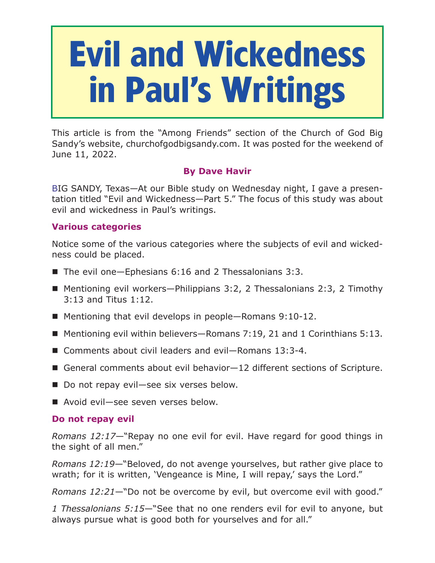# **Evil and Wickedness in Paul's Writings**

This article is from the "Among Friends" section of the Church of God Big Sandy's website, churchofgodbigsandy.com. It was posted for the weekend of June 11, 2022.

# **By Dave Havir**

BIG SANDY, Texas—At our Bible study on Wednesday night, I gave a presentation titled "Evil and Wickedness—Part 5." The focus of this study was about evil and wickedness in Paul's writings.

## **Various categories**

Notice some of the various categories where the subjects of evil and wickedness could be placed.

- The evil one—Ephesians  $6:16$  and 2 Thessalonians  $3:3$ .
- Mentioning evil workers—Philippians 3:2, 2 Thessalonians 2:3, 2 Timothy 3:13 and Titus 1:12.
- Mentioning that evil develops in people—Romans 9:10-12.
- Mentioning evil within believers—Romans 7:19, 21 and 1 Corinthians 5:13.
- Comments about civil leaders and evil–Romans 13:3-4.
- General comments about evil behavior–12 different sections of Scripture.
- Do not repay evil—see six verses below.
- Avoid evil—see seven verses below.

#### **Do not repay evil**

*Romans 12:17*—"Repay no one evil for evil. Have regard for good things in the sight of all men."

*Romans 12:19*—"Beloved, do not avenge yourselves, but rather give place to wrath; for it is written, 'Vengeance is Mine, I will repay,' says the Lord."

*Romans 12:21*—"Do not be overcome by evil, but overcome evil with good."

*1 Thessalonians 5:15*—"See that no one renders evil for evil to anyone, but always pursue what is good both for yourselves and for all."